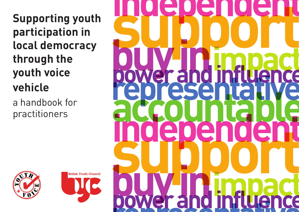**Supporting youth participation in local democracy through the youth voice vehicle**

a handbook for practitioners





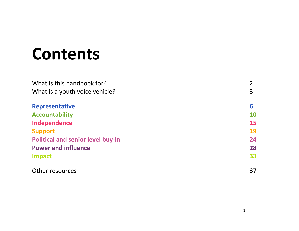# Contents

| What is this handbook for?               | $\overline{2}$ |
|------------------------------------------|----------------|
| What is a youth voice vehicle?           | 3              |
| <b>Representative</b>                    | 6              |
| <b>Accountability</b>                    | <b>10</b>      |
| Independence                             | <b>15</b>      |
| <b>Support</b>                           | 19             |
| <b>Political and senior level buy-in</b> | 24             |
| <b>Power and influence</b>               | 28             |
| <b>Impact</b>                            | 33             |
| Other resources                          | 37             |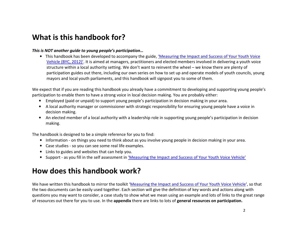## What is this handbook for?

#### This is NOT another guide to young people's participation…

<span id="page-2-0"></span>**•** This handbook has been developed to accompany the guide, <u>['Measuring the Impact and Success of Your Youth Voice](http://www.byc.org.uk/media/83890/youth_voice_vehicles_standards_toolkit.pdf)</u> [Vehicle \(BYC, 2012\)'.](http://www.byc.org.uk/media/83890/youth_voice_vehicles_standards_toolkit.pdf) It is aimed at managers, practitioners and elected members involved in delivering a youth voice structure within a local authority setting. We don't want to reinvent the wheel – we know there are plenty of participation guides out there, including our own series on how to set up and operate models of youth councils, young mayors and local youth parliaments, and this handbook will signpost you to some of them.

We expect that if you are reading this handbook you already have a commitment to developing and supporting young people's participation to enable them to have a strong voice in local decision making. You are probably either:

- Employed (paid or unpaid) to support young people's participation in decision making in your area.
- A local authority manager or commissioner with strategic responsibility for ensuring young people have a voice in decision making.
- An elected member of a local authority with a leadership role in supporting young people's participation in decision making.

The handbook is designed to be a simple reference for you to find:

- Information on things you need to think about as you involve young people in decision making in your area.
- Case studies so you can see some real life examples.
- Links to guides and websites that can help you.
- **•** Support as you fill in the self assessment in <u>'Measuring the Impact and Success of Your Youth Voice Vehicle'</u>

## How does this handbook work?

We have written this handbook to mirror the toolkit ['Measuring the Impact and Success of Your Youth Voice Vehicle'](http://www.byc.org.uk/media/83890/youth_voice_vehicles_standards_toolkit.pdf), so that the two documents can be easily used together. Each section will give the definition of key words and actions along with questions you may want to consider, a case study to show what we mean using an example and lots of links to the great range of resources out there for you to use. In the appendix there are links to lots of general resources on participation.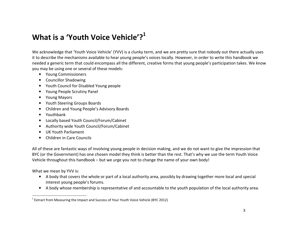## <span id="page-3-0"></span>What is a 'Youth Voice Vehicle'? $^{\mathbf 1}$

We acknowledge that 'Youth Voice Vehicle' (YVV) is a clunky term, and we are pretty sure that nobody out there actually uses it to describe the mechanisms available to hear young people's voices locally. However, in order to write this handbook we needed a generic term that could encompass all the different, creative forms that young people's participation takes. We know you may be using one or several of these models:

- Young Commissioners
- Councillor Shadowing
- Youth Council for Disabled Young people
- Young People Scrutiny Panel
- Young Mayors
- Youth Steering Groups Boards
- Children and Young People's Advisory Boards
- Youthbank
- Locally based Youth Council/Forum/Cabinet
- Authority wide Youth Council/Forum/Cabinet
- UK Youth Parliament
- Children in Care Councils

All of these are fantastic ways of involving young people in decision making, and we do not want to give the impression that BYC (or the Government) has one chosen model they think is better than the rest. That's why we use the term Youth Voice Vehicle throughout this handbook – but we urge you not to change the name of your own body!

What we mean by YVV is:

- A body that covers the whole or part of a local authority area, possibly by drawing together more local and special interest young people's forums.
- A body whose membership is representative of and accountable to the youth population of the local authority area.

 $1$  Extract from Measuring the Impact and Success of Your Youth Voice Vehicle (BYC 2012)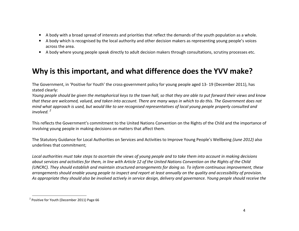- A body with a broad spread of interests and priorities that reflect the demands of the youth population as a whole.
- A body which is recognised by the local authority and other decision makers as representing young people's voices across the area.
- A body where young people speak directly to adult decision makers through consultations, scrutiny processes etc.

## Why is this important, and what difference does the YVV make?

The Government, in 'Positive for Youth' the cross-government policy for young people aged 13- 19 (December 2011), has stated clearly:

Young people should be given the metaphorical keys to the town hall, so that they are able to put forward their views and know that these are welcomed, valued, and taken into account. There are many ways in which to do this. The Government does not mind what approach is used, but would like to see recognised representatives of local young people properly consulted and  $involved<sup>2</sup>$ 

This reflects the Government's commitment to the United Nations Convention on the Rights of the Child and the importance of involving young people in making decisions on matters that affect them.

The Statutory Guidance for Local Authorities on Services and Activities to Improve Young People's Wellbeing (June 2012) also underlines that commitment;

Local authorities must take steps to ascertain the views of young people and to take them into account in making decisions about services and activities for them, in line with Article 12 of the United Nations Convention on the Rights of the Child (UNCRC). They should establish and maintain structured arrangements for doing so. To inform continuous improvement, these arrangements should enable young people to inspect and report at least annually on the quality and accessibility of provision. As appropriate they should also be involved actively in service design, delivery and governance. Young people should receive the

<sup>2</sup> Positive for Youth (December 2011) Page 66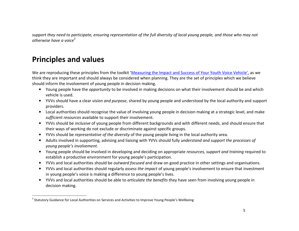support they need to participate, ensuring representation of the full diversity of local young people, and those who may not otherwise have a voice<sup>3</sup>

## Principles and values

We are reproducing these principles from the toolkit ['Measuring the Impact and Success of Your Youth Voice Vehicle',](http://www.byc.org.uk/media/83890/youth_voice_vehicles_standards_toolkit.pdf) as we think they are important and should always be considered when planning. They are the set of principles which we believe should inform the involvement of young people in decision making.

- Young people have the opportunity to be involved in making decisions on what their involvement should be and which vehicle is used.
- YVVs should have a clear vision and purpose, shared by young people and understood by the local authority and support providers.
- Local authorities should recognise the value of involving young people in decision making at a strategic level, and make sufficient resources available to support their involvement.
- YVVs should be inclusive of young people from different backgrounds and with different needs, and should ensure that their ways of working do not exclude or discriminate against specific groups.
- YVVs should be representative of the diversity of the young people living in the local authority area.
- Adults involved in supporting, advising and liaising with YVVs should fully understand and support the processes of young people's involvement.
- Young people should be involved in developing and deciding on appropriate resources, support and training required to establish a productive environment for young people's participation.
- YVVs and local authorities should be outward focused and draw on good practice in other settings and organisations.
- YVVs and local authorities should regularly assess the impact of young people's involvement to ensure that investment in young people's voice is making a difference to young people's lives.
- YVVs and local authorities should be able to articulate the benefits they have seen from involving young people in decision making.

<sup>&</sup>lt;sup>3</sup> Statutory Guidance for Local Authorities on Services and Activities to Improve Young People's Wellbeing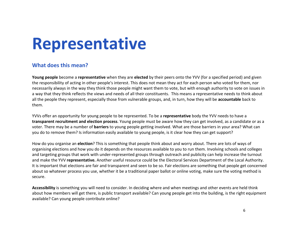## <span id="page-6-0"></span>Representative

#### What does this mean?

**Young people** become a **representative** when they are **elected** by their peers onto the YVV (for a specified period) and given the responsibility of acting in other people's interest. This does not mean they act for each person who voted for them, nor necessarily always in the way they think those people might want them to vote, but with enough authority to vote on issues in a way that they think reflects the views and needs of all their constituents. This means a representative needs to think about all the people they represent, especially those from vulnerable groups, and, in turn, how they will be **accountable** back to them.

YVVs offer an opportunity for young people to be represented. To be a representative body the YVV needs to have a transparent recruitment and election process. Young people must be aware how they can get involved, as a candidate or as a voter. There may be a number of **barriers** to young people getting involved. What are those barriers in your area? What can you do to remove them? Is information easily available to young people, is it clear how they can get support?

How do you organise an election? This is something that people think about and worry about. There are lots of ways of organising elections and how you do it depends on the resources available to you to run them. Involving schools and colleges and targeting groups that work with under-represented groups through outreach and publicity can help increase the turnout and make the YVV representative. Another useful resource could be the Electoral Services Department of the Local Authority. It is important that elections are fair and transparent and seen to be so. Fair elections are something that people get concerned about so whatever process you use, whether it be a traditional paper ballot or online voting, make sure the voting method is secure.

Accessibility is something you will need to consider. In deciding where and when meetings and other events are held think about how members will get there, is public transport available? Can young people get into the building, is the right equipment available? Can young people contribute online?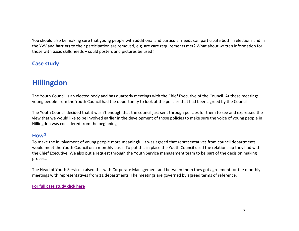You should also be making sure that young people with additional and particular needs can participate both in elections and in the YVV and barriers to their participation are removed, e.g. are care requirements met? What about written information forthose with basic skills needs – could posters and pictures be used?

### Case study

## Hillingdon

The Youth Council is an elected body and has quarterly meetings with the Chief Executive of the Council. At these meetings young people from the Youth Council had the opportunity to look at the policies that had been agreed by the Council.

The Youth Council decided that it wasn't enough that the council just sent through policies for them to see and expressed the view that we would like to be involved earlier in the development of those policies to make sure the voice of young people in Hillingdon was considered from the beginning.

#### How?

To make the involvement of young people more meaningful it was agreed that representatives from council departments would meet the Youth Council on a monthly basis. To put this in place the Youth Council used the relationship they had with the Chief Executive. We also put a request through the Youth Service management team to be part of the decision making process.

The Head of Youth Services raised this with Corporate Management and between them they got agreement for the monthly meetings with representatives from 11 departments. The meetings are governed by agreed terms of reference.

#### [For full case study click here](http://www.byc.org.uk/uk-work/support-for-local-authorities/youth-voice-vehicles/#case%20studies)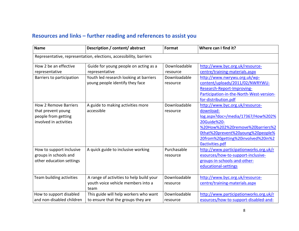| <b>Name</b>                  | Description / content/ abstract                                    | Format       | Where can I find it?                     |
|------------------------------|--------------------------------------------------------------------|--------------|------------------------------------------|
|                              | Representative, representation, elections, accessibility, barriers |              |                                          |
| How 2 be an effective        | Guide for young people on acting as a                              | Downloadable | http://www.byc.org.uk/resource-          |
| representative               | representative                                                     | resource     | centre/training-materials.aspx           |
| Barriers to participation    | Youth led research looking at barriers                             | Downloadable | http://www.nwrywu.org.uk/wp-             |
|                              | young people identify they face                                    | resource     | content/uploads/2011/02/NWRYWU-          |
|                              |                                                                    |              | Research-Report-Improving-               |
|                              |                                                                    |              | Participation-in-the-North-West-version- |
|                              |                                                                    |              | for-distribution.pdf                     |
| <b>How 2 Remove Barriers</b> | A guide to making activities more                                  | Downloadable | http://www.byc.org.uk/resource-          |
| that prevent young           | accessible                                                         | resource     | download-                                |
| people from getting          |                                                                    |              | log.aspx?doc=/media/17367/How%202%       |
| involved in activities       |                                                                    |              | 20Guide%20-                              |
|                              |                                                                    |              | %20How%202%20remove%20barriers%2         |
|                              |                                                                    |              | Othat%20prevent%20young%20people%        |
|                              |                                                                    |              | 20from%20getting%20involved%20in%2       |
|                              |                                                                    |              | Oactivities.pdf                          |
| How to support inclusive     | A quick guide to inclusive working                                 | Purchasable  | http://www.participationworks.org.uk/r   |
| groups in schools and        |                                                                    | resource     | esources/how-to-support-inclusive-       |
| other education settings     |                                                                    |              | groups-in-schools-and-other-             |
|                              |                                                                    |              | educational-settings                     |
|                              |                                                                    |              |                                          |
| Team building activities     | A range of activities to help build your                           | Downloadable | http://www.byc.org.uk/resource-          |
|                              | youth voice vehicle members into a                                 | resource     | centre/training-materials.aspx           |
|                              | team                                                               |              |                                          |
| How to support disabled      | This guide will help workers who want                              | Downloadable | http://www.participationworks.org.uk/r   |
| and non-disabled children    | to ensure that the groups they are                                 | resource     | esources/how-to-support-disabled-and-    |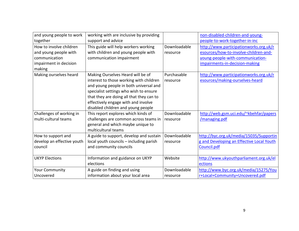| and young people to work<br>together                                                                  | working with are inclusive by providing<br>support and advice                                                                                                                                                                                                                             |                          | non-disabled-children-and-young-<br>people-to-work-together-in-inc                                                                                    |
|-------------------------------------------------------------------------------------------------------|-------------------------------------------------------------------------------------------------------------------------------------------------------------------------------------------------------------------------------------------------------------------------------------------|--------------------------|-------------------------------------------------------------------------------------------------------------------------------------------------------|
| How to involve children<br>and young people with<br>communication<br>impairment in decision<br>making | This guide will help workers working<br>with children and young people with<br>communication impairment                                                                                                                                                                                   | Downloadable<br>resource | http://www.participationworks.org.uk/r<br>esources/how-to-involve-children-and-<br>young-people-with-communication-<br>impairments-in-decision-making |
| Making ourselves heard                                                                                | Making Ourselves Heard will be of<br>interest to those working with children<br>and young people in both universal and<br>specialist settings who wish to ensure<br>that they are doing all that they can to<br>effectively engage with and involve<br>disabled children and young people | Purchasable<br>resource  | http://www.participationworks.org.uk/r<br>esources/making-ourselves-heard                                                                             |
| Challenges of working in<br>multi-cultural teams                                                      | This report explores which kinds of<br>challenges are common across teams in<br>general and which maybe unique to<br>multicultural teams                                                                                                                                                  | Downloadable<br>resource | http://web.gsm.uci.edu/~kbehfar/papers<br>/managing.pdf                                                                                               |
| How to support and<br>develop an effective youth<br>council                                           | A guide to support, develop and sustain<br>local youth councils - including parish<br>and community councils                                                                                                                                                                              | Downloadable<br>resource | http://byc.org.uk/media/15035/Supportin<br>g and Developing an Effective Local Youth<br>Council.pdf                                                   |
| <b>UKYP Elections</b>                                                                                 | Information and guidance on UKYP<br>elections                                                                                                                                                                                                                                             | Website                  | http://www.ukyouthparliament.org.uk/el<br>ections                                                                                                     |
| <b>Your Community</b><br>Uncovered                                                                    | A guide on finding and using<br>information about your local area                                                                                                                                                                                                                         | Downloadable<br>resource | http://www.byc.org.uk/media/15275/You<br>r+Local+Community+Uncovered.pdf                                                                              |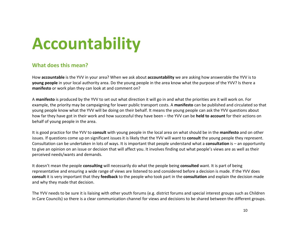# <span id="page-10-0"></span>Accountability

#### What does this mean?

How accountable is the YVV in your area? When we ask about accountability we are asking how answerable the YVV is to young people in your local authority area. Do the young people in the area know what the purpose of the YVV? Is there a manifesto or work plan they can look at and comment on?

A manifesto is produced by the YVV to set out what direction it will go in and what the priorities are it will work on. For example, the priority may be campaigning for lower public transport costs. A manifesto can be published and circulated so that young people know what the YVV will be doing on their behalf. It means the young people can ask the YVV questions about how far they have got in their work and how successful they have been – the YVV can be **held to account** for their actions on behalf of young people in the area.

It is good practice for the YVV to consult with young people in the local area on what should be in the manifesto and on other issues. If questions come up on significant issues it is likely that the YVV will want to **consult** the young people they represent. Consultation can be undertaken in lots of ways. It is important that people understand what a **consultation** is  $-$  an opportunity to give an opinion on an issue or decision that will affect you. It involves finding out what people's views are as well as their perceived needs/wants and demands.

It doesn't mean the people consulting will necessarily do what the people being consulted want. It is part of being representative and ensuring a wide range of views are listened to and considered before a decision is made. If the YVV does consult it is very important that they feedback to the people who took part in the consultation and explain the decision made and why they made that decision.

The YVV needs to be sure it is liaising with other youth forums (e.g. district forums and special interest groups such as Children in Care Councils) so there is a clear communication channel for views and decisions to be shared between the different groups.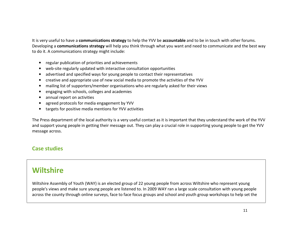It is very useful to have a communications strategy to help the YVV be accountable and to be in touch with other forums. Developing a communications strategy will help you think through what you want and need to communicate and the best way to do it. A communications strategy might include:

- regular publication of priorities and achievements
- web-site regularly updated with interactive consultation opportunities
- advertised and specified ways for young people to contact their representatives
- creative and appropriate use of new social media to promote the activities of the YVV
- mailing list of supporters/member organisations who are regularly asked for their views
- •engaging with schools, colleges and academies
- annual report on activities
- •agreed protocols for media engagement by YVV
- targets for positive media mentions for YVV activities

The Press department of the local authority is a very useful contact as it is important that they understand the work of the YVV and support young people in getting their message out. They can play a crucial role in supporting young people to get the YVV message across.

### Case studies

## **Wiltshire**

Wiltshire Assembly of Youth (WAY) is an elected group of 22 young people from across Wiltshire who represent young people's views and make sure young people are listened to. In 2009 WAY ran a large scale consultation with young people across the county through online surveys, face to face focus groups and school and youth group workshops to help set the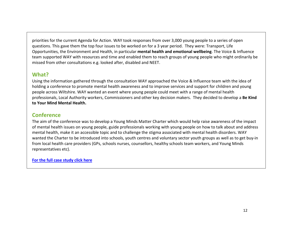priorities for the current Agenda for Action. WAY took responses from over 3,000 young people to a series of open questions. This gave them the top four issues to be worked on for a 3 year period. They were: Transport, Life Opportunities, the Environment and Health, in particular **mental health and emotional wellbeing**. The Voice & Influence team supported WAY with resources and time and enabled them to reach groups of young people who might ordinarily be missed from other consultations e.g. looked after, disabled and NEET.

#### What?

Using the information gathered through the consultation WAY approached the Voice & Influence team with the idea of holding a conference to promote mental health awareness and to improve services and support for children and young people across Wiltshire. WAY wanted an event where young people could meet with a range of mental health professionals, Local Authority workers, Commissioners and other key decision makers. They decided to develop a Be Kind to Your Mind Mental Health.

#### **Conference**

 The aim of the conference was to develop a Young Minds Matter Charter which would help raise awareness of the impact of mental health issues on young people, guide professionals working with young people on how to talk about and address mental health, make it an accessible topic and to challenge the stigma associated with mental health disorders. WAY wanted the Charter to be introduced into schools, youth centres and voluntary sector youth groups as well as to get buy-in from local health care providers (GPs, schools nurses, counsellors, healthy schools team workers, and Young Minds representatives etc).

[For the full case study click here](http://www.byc.org.uk/uk-work/support-for-local-authorities/youth-voice-vehicles/#case%20studies)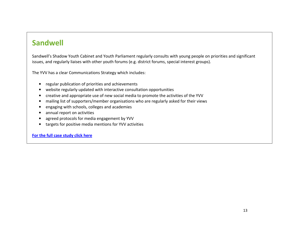## Sandwell

Sandwell's Shadow Youth Cabinet and Youth Parliament regularly consults with young people on priorities and significant issues, and regularly liaises with other youth forums (e.g. district forums, special interest groups).

The YVV has a clear Communications Strategy which includes:

- regular publication of priorities and achievements
- website regularly updated with interactive consultation opportunities
- creative and appropriate use of new social media to promote the activities of the YVV
- mailing list of supporters/member organisations who are regularly asked for their views
- engaging with schools, colleges and academies
- $\bullet$ annual report on activities
- •agreed protocols for media engagement by YVV
- $\bullet$ targets for positive media mentions for YVV activities

[For the full case study click here](http://www.byc.org.uk/uk-work/support-for-local-authorities/youth-voice-vehicles/#case%20studies)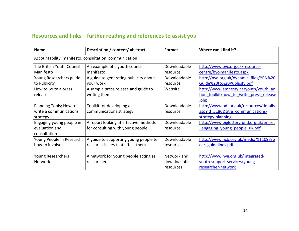| <b>Name</b>               | Description / content/ abstract                        | Format       | Where can I find it?                     |
|---------------------------|--------------------------------------------------------|--------------|------------------------------------------|
|                           | Accountability, manifesto, consultation, communication |              |                                          |
| The British Youth Council | An example of a youth council                          | Downloadable | http://www.byc.org.uk/resource-          |
| Manifesto                 | manifesto                                              | resource     | centre/byc-manifesto.aspx                |
| Young Researchers guide   | A guide to generating publicity about                  | Downloadable | http://nya.org.uk/dynamic_files/YRN%20   |
| to Publicity              | your work                                              | resource     | Guide%20to%20Publicity.pdf               |
| How to write a press      | A sample press release and guide to                    | Website      | http://www.amnesty.ca/youth/youth ac     |
| release                   | writing them                                           |              | tion toolkit/how to write press release  |
|                           |                                                        |              | .php                                     |
| Planning Tools; How to    | Toolkit for developing a                               | Downloadable | http://www.odi.org.uk/resources/details. |
| write a communications    | communications strategy                                | resource     | asp?id=5186&title=communications-        |
| strategy                  |                                                        |              | strategy-planning                        |
| Engaging young people in  | A report looking at effective methods                  | Downloadable | http://www.biglotteryfund.org.uk/er_res  |
| evaluation and            | for consulting with young people                       | resource     | engaging young people uk.pdf             |
| consultation              |                                                        |              |                                          |
| Young People in Research, | A guide to supporting young people to                  | Downloadable | http://www.ncb.org.uk/media/111093/p     |
| how to involve us         | research issues that affect them                       | resource     | ear guidelines.pdf                       |
|                           |                                                        |              |                                          |
| <b>Young Researchers</b>  | A network for young people acting as                   | Network and  | http://www.nya.org.uk/integrated-        |
| <b>Network</b>            | researchers                                            | downloadable | youth-support-services/young-            |
|                           |                                                        | resources    | researcher-network                       |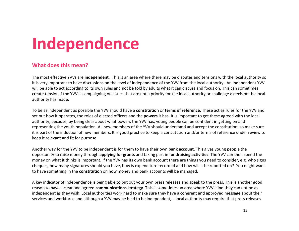# <span id="page-15-0"></span>Independence

#### What does this mean?

The most effective YVVs are independent. This is an area where there may be disputes and tensions with the local authority so it is very important to have discussions on the level of independence of the YVV from the local authority. An independent YVV will be able to act according to its own rules and not be told by adults what it can discuss and focus on. This can sometimes create tension if the YVV is campaigning on issues that are not a priority for the local authority or challenge a decision the local authority has made.

To be as independent as possible the YVV should have a constitution or terms of reference. These act as rules for the YVV and set out how it operates, the roles of elected officers and the **powers** it has. It is important to get these agreed with the local authority, because, by being clear about what powers the YVV has, young people can be confident in getting on and representing the youth population. All new members of the YVV should understand and accept the constitution, so make sure it is part of the induction of new members. It is good practice to keep a constitution and/or terms of reference under review to keep it relevant and fit for purpose.

Another way for the YVV to be independent is for them to have their own **bank account**. This gives young people the opportunity to raise money through **applying for grants** and taking part in **fundraising activities**. The YVV can then spend the money on what it thinks is important. If the YVV has its own bank account there are things you need to consider, e.g. who signs cheques, how many signatures should you have, how is expenditure recorded and how will it be reported on? You might want to have something in the **constitution** on how money and bank accounts will be managed.

A key indicator of independence is being able to put out your own press releases and speak to the press. This is another good reason to have a clear and agreed communications strategy. This is sometimes an area where YVVs find they can not be as independent as they wish. Local authorities work hard to make sure they have a coherent and approved message about their services and workforce and although a YVV may be held to be independent, a local authority may require that press releases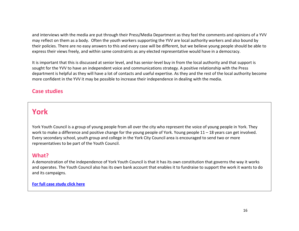and interviews with the media are put through their Press/Media Department as they feel the comments and opinions of a YVV may reflect on them as a body. Often the youth workers supporting the YVV are local authority workers and also bound by their policies. There are no easy answers to this and every case will be different, but we believe young people should be able to express their views freely, and within same constraints as any elected representative would have in a democracy.

It is important that this is discussed at senior level, and has senior-level buy in from the local authority and that support is sought for the YVV to have an independent voice and communications strategy. A positive relationship with the Press department is helpful as they will have a lot of contacts and useful expertise. As they and the rest of the local authority become more confident in the YVV it may be possible to increase their independence in dealing with the media.

#### Case studies

### York

York Youth Council is a group of young people from all over the city who represent the voice of young people in York. They work to make a difference and positive change for the young people of York. Young people 11 – 18 years can get involved. Every secondary school, youth group and college in the York City Council area is encouraged to send two or more representatives to be part of the Youth Council.

#### What?

A demonstration of the independence of York Youth Council is that it has its own constitution that governs the way it works and operates. The Youth Council also has its own bank account that enables it to fundraise to support the work it wants to do and its campaigns.

#### [For full case study click here](http://www.byc.org.uk/uk-work/support-for-local-authorities/youth-voice-vehicles/#case%20studies)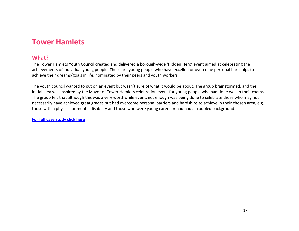### Tower Hamlets

#### What?

The Tower Hamlets Youth Council created and delivered a borough-wide 'Hidden Hero' event aimed at celebrating the achievements of individual young people. These are young people who have excelled or overcome personal hardships to achieve their dreams/goals in life, nominated by their peers and youth workers.

The youth council wanted to put on an event but wasn't sure of what it would be about. The group brainstormed, and the initial idea was inspired by the Mayor of Tower Hamlets celebration event for young people who had done well in their exams. The group felt that although this was a very worthwhile event, not enough was being done to celebrate those who may not necessarily have achieved great grades but had overcome personal barriers and hardships to achieve in their chosen area, e.g. those with a physical or mental disability and those who were young carers or had had a troubled background.

[For full case study click here](http://www.byc.org.uk/uk-work/support-for-local-authorities/youth-voice-vehicles/#case%20studies)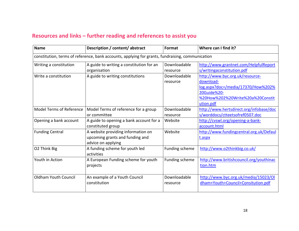| <b>Name</b>                     | Description / content/ abstract                                                                  | Format                   | Where can I find it?                                                                                                                               |
|---------------------------------|--------------------------------------------------------------------------------------------------|--------------------------|----------------------------------------------------------------------------------------------------------------------------------------------------|
|                                 | constitution, terms of reference, bank accounts, applying for grants, fundraising, communication |                          |                                                                                                                                                    |
| Writing a constitution          | A guide to writing a constitution for an<br>organisation                                         | Downloadable<br>resource | http://www.grantnet.com/HelpfulReport<br>s/writingaconstitution.pdf                                                                                |
| Write a constitution            | A guide to writing constitutions                                                                 | Downloadable<br>resource | http://www.byc.org.uk/resource-<br>download-<br>log.aspx?doc=/media/17370/How%202%<br>20Guide%20-<br>%20How%202%20Write%20a%20Constit<br>ution.pdf |
| <b>Model Terms of Reference</b> | Model Terms of reference for a group<br>or committee                                             | Downloadable<br>resource | http://www.hertsdirect.org/infobase/doc<br>s/worddocs/ctteetsofref0507.doc                                                                         |
| Opening a bank account          | A guide to opening a bank account for a<br>constituted group                                     | Website                  | http://cvswl.org/opening-a-bank-<br>account.html                                                                                                   |
| <b>Funding Central</b>          | A website providing information on<br>upcoming grants and funding and<br>advice on applying      | Website                  | http://www.fundingcentral.org.uk/Defaul<br>t.aspx                                                                                                  |
| O2 Think Big                    | A funding scheme for youth led<br>activities                                                     | Funding scheme           | http://www.o2thinkbig.co.uk/                                                                                                                       |
| Youth in Action                 | A European Funding scheme for youth<br>projects                                                  | Funding scheme           | http://www.britishcouncil.org/youthinac<br>tion.htm                                                                                                |
| <b>Oldham Youth Council</b>     | An example of a Youth Council<br>constitution                                                    | Downloadable<br>resource | http://www.byc.org.uk/media/15023/OI<br>dham+Youth+Council+Consitution.pdf                                                                         |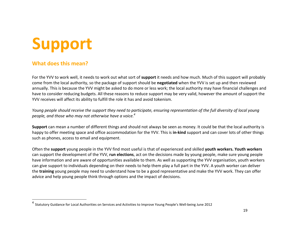# <span id="page-19-0"></span>Support

#### What does this mean?

For the YVV to work well, it needs to work out what sort of **support** it needs and how much. Much of this support will probably come from the local authority, so the package of support should be negotiated when the YVV is set up and then reviewed annually. This is because the YVV might be asked to do more or less work; the local authority may have financial challenges and have to consider reducing budgets. All these reasons to reduce support may be very valid, however the amount of support the YVV receives will affect its ability to fulfill the role it has and avoid tokenism.

Young people should receive the support they need to participate, ensuring representation of the full diversity of local young people, and those who may not otherwise have a voice.<sup>4</sup>

Support can mean a number of different things and should not always be seen as money. It could be that the local authority is happy to offer meeting space and office accommodation for the YVV. This is in-kind support and can cover lots of other things such as phones, access to email and equipment.

Often the support young people in the YVV find most useful is that of experienced and skilled youth workers. Youth workers can support the development of the YVV, **run elections**, act on the decisions made by young people, make sure young people have information and are aware of opportunities available to them. As well as supporting the YVV organisation, youth workers can give support to individuals depending on their needs to help them play a full part in the YVV. A youth worker can deliver the training young people may need to understand how to be a good representative and make the YVV work. They can offer advice and help young people think through options and the impact of decisions.

<sup>&</sup>lt;sup>4</sup> Statutory Guidance for Local Authorities on Services and Activities to Improve Young People's Well-being June 2012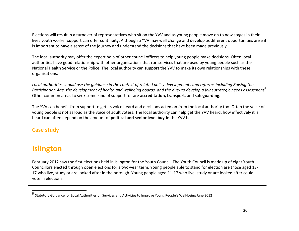Elections will result in a turnover of representatives who sit on the YVV and as young people move on to new stages in their lives youth worker support can offer continuity. Although a YVV may well change and develop as different opportunities arise it is important to have a sense of the journey and understand the decisions that have been made previously.

The local authority may offer the expert help of other council officers to help young people make decisions. Often local authorities have good relationship with other organisations that run services that are used by young people such as the National Health Service or the Police. The local authority can support the YVV to make its own relationships with these organisations.

Local authorities should use the guidance in the context of related policy developments and reforms including Raising the Participation Age, the development of health and wellbeing boards, and the duty to develop a joint strategic needs assessment<sup>5</sup>. Other common areas to seek some kind of support for are accreditation, transport, and safeguarding.

The YVV can benefit from support to get its voice heard and decisions acted on from the local authority too. Often the voice of young people is not as loud as the voice of adult voters. The local authority can help get the YVV heard, how effectively it is heard can often depend on the amount of political and senior level buy-in the YVV has.

### Case study

## Islington

February 2012 saw the first elections held in Islington for the Youth Council. The Youth Council is made up of eight Youth Councillors elected through open elections for a two-year term. Young people able to stand for election are those aged 13-17 who live, study or are looked after in the borough. Young people aged 11-17 who live, study or are looked after could vote in elections.

<sup>5</sup> Statutory Guidance for Local Authorities on Services and Activities to Improve Young People's Well-being June 2012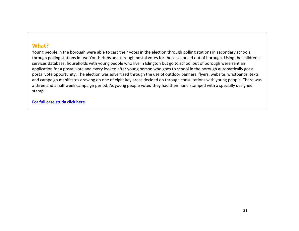#### What?

Young people in the borough were able to cast their votes in the election through polling stations in secondary schools, through polling stations in two Youth Hubs and through postal votes for those schooled out of borough. Using the children's services database, households with young people who live in Islington but go to school out of borough were sent an application for a postal vote and every looked after young person who goes to school in the borough automatically got a postal vote opportunity. The election was advertised through the use of outdoor banners, flyers, website, wristbands, texts and campaign manifestos drawing on one of eight key areas decided on through consultations with young people. There was a three and a half week campaign period. As young people voted they had their hand stamped with a specially designed stamp.

[For full case study click here](http://www.byc.org.uk/uk-work/support-for-local-authorities/youth-voice-vehicles/#case%20studies)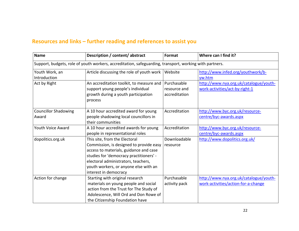| <b>Name</b>                          | Description / content/ abstract                                                                                                                                                                                                                                        | Format                                       | Where can I find it?                                                          |
|--------------------------------------|------------------------------------------------------------------------------------------------------------------------------------------------------------------------------------------------------------------------------------------------------------------------|----------------------------------------------|-------------------------------------------------------------------------------|
|                                      | Support, budgets, role of youth workers, accreditation, safeguarding, transport, working with partners.                                                                                                                                                                |                                              |                                                                               |
| Youth Work, an<br>Introduction       | Article discussing the role of youth work                                                                                                                                                                                                                              | Website                                      | http://www.infed.org/youthwork/b-<br>yw.htm                                   |
| Act by Right                         | An accreditation toolkit, to measure and<br>support young people's individual<br>growth during a youth participation<br>process                                                                                                                                        | Purchasable<br>resource and<br>accreditation | http://www.nya.org.uk/catalogue/youth-<br>work-activities/act-by-right-1      |
| <b>Councillor Shadowing</b><br>Award | A 10 hour accredited award for young<br>people shadowing local councillors in<br>their communities                                                                                                                                                                     | Accreditation                                | http://www.byc.org.uk/resource-<br>centre/byc-awards.aspx                     |
| Youth Voice Award                    | A 10 hour accredited awards for young<br>people in representational roles                                                                                                                                                                                              | Accreditation                                | http://www.byc.org.uk/resource-<br>centre/byc-awards.aspx                     |
| dopolitics.org.uk                    | This site, from the Electoral<br>Commission, is designed to provide easy<br>access to materials, guidance and case<br>studies for 'democracy practitioners' -<br>electoral administrators, teachers,<br>youth workers, or anyone else with an<br>interest in democracy | Downloadable<br>resource                     | http://www.dopolitics.org.uk/                                                 |
| Action for change                    | Starting with original research<br>materials on young people and social<br>action from the Trust for The Study of<br>Adolescence, Will Ord and Don Rowe of<br>the Citizenship Foundation have                                                                          | Purchasable<br>activity pack                 | http://www.nya.org.uk/catalogue/youth-<br>work-activities/action-for-a-change |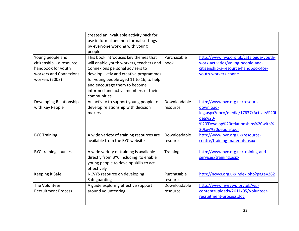|                                                                                                                | created an invaluable activity pack for<br>use in formal and non-formal settings<br>by everyone working with young<br>people.                                                                                                                                                                   |                          |                                                                                                                                                                 |
|----------------------------------------------------------------------------------------------------------------|-------------------------------------------------------------------------------------------------------------------------------------------------------------------------------------------------------------------------------------------------------------------------------------------------|--------------------------|-----------------------------------------------------------------------------------------------------------------------------------------------------------------|
| Young people and<br>citizenship - a resource<br>handbook for youth<br>workers and Connexions<br>workers (2003) | This book introduces key themes that<br>will enable youth workers, teachers and<br>Connexions personal advisers to<br>develop lively and creative programmes<br>for young people aged 11 to 16, to help<br>and encourage them to become<br>informed and active members of their<br>communities. | Purchasable<br>book      | http://www.nya.org.uk/catalogue/youth-<br>work-activities/young-people-and-<br>citizenship-a-resource-handbook-for-<br>youth-workers-conne                      |
| Developing Relationships<br>with Key People                                                                    | An activity to support young people to<br>develop relationship with decision<br>makers                                                                                                                                                                                                          | Downloadable<br>resource | http://www.byc.org.uk/resource-<br>download-<br>log.aspx?doc=/media/17637/Activity%20i<br>dea%20-<br>%20'Develop%20relationships%20with%<br>20key%20people'.pdf |
| <b>BYC Training</b>                                                                                            | A wide variety of training resources are<br>available from the BYC website                                                                                                                                                                                                                      | Downloadable<br>resource | http://www.byc.org.uk/resource-<br>centre/training-materials.aspx                                                                                               |
| <b>BYC training courses</b>                                                                                    | A wide variety of training is available<br>directly from BYC including to enable<br>young people to develop skills to act<br>effectively                                                                                                                                                        | Training                 | http://www.byc.org.uk/training-and-<br>services/training.aspx                                                                                                   |
| Keeping it Safe                                                                                                | NCVYS resource on developing<br>Safeguarding                                                                                                                                                                                                                                                    | Purchasable<br>resource  | http://ncvys.org.uk/index.php?page=262                                                                                                                          |
| The Volunteer<br><b>Recruitment Process</b>                                                                    | A guide exploring effective support<br>around volunteering                                                                                                                                                                                                                                      | Downloadable<br>resource | http://www.nwrywu.org.uk/wp-<br>content/uploads/2011/05/Volunteer-<br>recruitment-process.doc                                                                   |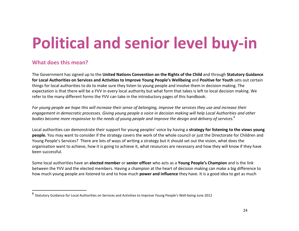# <span id="page-24-0"></span>Political and senior level buy-in

#### What does this mean?

The Government has signed up to the United Nations Convention on the Rights of the Child and through Statutory Guidance for Local Authorities on Services and Activities to Improve Young People's Wellbeing and Positive for Youth sets out certain things for local authorities to do to make sure they listen to young people and involve them in decision making. The expectation is that there will be a YVV in every local authority but what form that takes is left to local decision making. We refer to the many different forms the YVV can take in the introductory pages of this handbook.

For young people we hope this will increase their sense of belonging, improve the services they use and increase their engagement in democratic processes. Giving young people a voice in decision making will help Local Authorities and other bodies become more responsive to the needs of young people and improve the design and delivery of services. $^6$ 

Local authorities can demonstrate their support for young peoples' voice by having a strategy for listening to the views young people. You may want to consider if the strategy covers the work of the whole council or just the Directorate for Children and Young People's Services? There are lots of ways of writing a strategy but it should set out the vision, what does the organisation want to achieve, how it is going to achieve it, what resources are necessary and how they will know if they have been successful.

Some local authorities have an **elected member** or **senior officer** who acts as a **Young People's Champion** and is the link between the YVV and the elected members. Having a champion at the heart of decision making can make a big difference to how much young people are listened to and to how much **power and influence** they have. It is a good idea to get as much

 $^6$  Statutory Guidance for Local Authorities on Services and Activities to Improve Young People's Well-being June 2012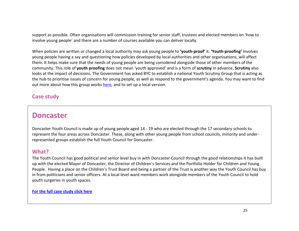support as possible. Often organisations will commission training for senior staff, trustees and elected members on 'how to involve young people' and there are a number of courses available you can deliver locally.

When policies are written or changed a local authority may ask young people to 'youth-proof' it. 'Youth-proofing' involves young people having a say and questioning how policies developed by local authorities and other organisations, will affect them. It helps make sure that the needs of young people are being considered alongside those of other members of the community. This role of youth proofing does not mean 'youth approved' and is a form of scrutiny in advance. Scrutiny also looks at the impact of decisions. The Government has asked BYC to establish a national Youth Scrutiny Group that is acting as the hub to prioritise issues of concern for young people, as well as respond to the government's agenda. You may want to find out more about how this group works [here](http://www.byc.org.uk/uk-work/national-scrutiny-group.aspx), and to set up a local version.

#### Case study

### Doncaster

Doncaster Youth Council is made up of young people aged 14 - 19 who are elected through the 17 secondary schools to represent the four areas across Doncaster. These, along with other young people from school councils, minority and underrepresented groups establish the full Youth Council for Doncaster.

#### What?

The Youth Council has good political and senior level buy in with Doncaster Council through the good relationships it has built up with the elected Mayor of Doncaster, the Director of Children's Services and the Portfolio Holder for Children and Young People. Having a place on the Children's Trust Board and being a partner of the Trust is another way the Youth Council has buy in from politicians and senior officers. At a local level ward members work alongside members of the Youth Council to hold youth surgeries in youth spaces.

[For the full case study click here](http://www.byc.org.uk/uk-work/support-for-local-authorities/youth-voice-vehicles/#case%20studies)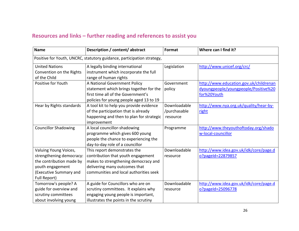| <b>Name</b>                                                                                                                                 | Description / content/ abstract                                                                                                                                                       | Format                                   | Where can I find it?                                        |  |
|---------------------------------------------------------------------------------------------------------------------------------------------|---------------------------------------------------------------------------------------------------------------------------------------------------------------------------------------|------------------------------------------|-------------------------------------------------------------|--|
| Positive for Youth, UNCRC, statutory guidance, participation strategy,                                                                      |                                                                                                                                                                                       |                                          |                                                             |  |
| <b>United Nations</b><br>Convention on the Rights                                                                                           | A legally binding international<br>instrument which incorporate the full                                                                                                              | Legislation                              | http://www.unicef.org/crc/                                  |  |
| of the Child<br>Positive for Youth                                                                                                          | range of human rights<br>A National Government Policy                                                                                                                                 | Government                               | http://www.education.gov.uk/childrenan                      |  |
|                                                                                                                                             | statement which brings together for the<br>first time all of the Government's<br>policies for young people aged 13 to 19                                                              | policy                                   | dyoungpeople/youngpeople/Positive%20<br>for%20Youth         |  |
| Hear by Rights standards                                                                                                                    | A tool kit to help you provide evidence<br>of the participation that is already<br>happening and then to plan for strategic<br>improvement                                            | Downloadable<br>/purchasable<br>resource | http://www.nya.org.uk/quality/hear-by-<br>right             |  |
| <b>Councillor Shadowing</b>                                                                                                                 | A local councillor-shadowing<br>programme which gives 600 young<br>people the chance to experiencing the<br>day-to-day role of a councillor                                           | Programme                                | http://www.theyouthoftoday.org/shado<br>w-local-councillor  |  |
| Valuing Young Voices,<br>strengthening democracy:<br>the contribution made by<br>youth engagement<br>(Executive Summary and<br>Full Report) | This report demonstrates the<br>contribution that youth engagement<br>makes to strengthening democracy and<br>delivering many outcomes that<br>communities and local authorities seek | Downloadable<br>resource                 | http://www.idea.gov.uk/idk/core/page.d<br>o?pageId=22879857 |  |
| Tomorrow's people? A<br>guide for overview and<br>scrutiny committees<br>about involving young                                              | A guide for Councillors who are on<br>scrutiny committees. It explains why<br>engaging young people is important,<br>illustrates the points in the scrutiny                           | Downloadable<br>resource                 | http://www.idea.gov.uk/idk/core/page.d<br>o?pageId=25096778 |  |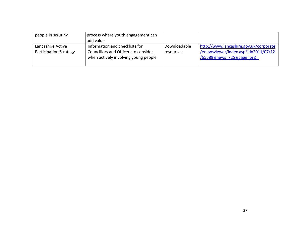| people in scrutiny                                 | process where youth engagement can<br>add value                                                                |                                  |                                                                                                            |
|----------------------------------------------------|----------------------------------------------------------------------------------------------------------------|----------------------------------|------------------------------------------------------------------------------------------------------------|
| Lancashire Active<br><b>Participation Strategy</b> | Information and checklists for<br>Councillors and Officers to consider<br>when actively involving young people | Downloadable<br><b>resources</b> | http://www.lancashire.gov.uk/corporate<br>/enewsviewer/index.asp?id=2011/07/12<br>/65589&news=725&page=pr& |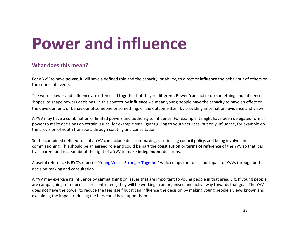## <span id="page-28-0"></span>Power and influence

#### What does this mean?

For a YVV to have power, it will have a defined role and the capacity, or ability, to direct or influence the behaviour of others or the course of events.

The words power and influence are often used together but they're different. Power 'can' act or do something and influence 'hopes' to shape powers decisions. In this context by **influence** we mean young people have the capacity to have an effect on the development, or behaviour of someone or something, or the outcome itself by providing information, evidence and views.

A YVV may have a combination of limited powers and authority to influence. For example it might have been delegated formal power to make decisions on certain issues, for example small grant giving to youth services, but only influence, for example on the provision of youth transport, through scrutiny and consultation.

So the combined defined role of a YVV can include decision-making, scrutinising council policy, and being involved in commissioning. This should be an agreed role and could be part the constitution or terms of reference of the YVV so that it is transparent and is clear about the right of a YVV to make independent decisions.

A useful reference is BYC's report – '[Young Voices Stronger Together](http://www.byc.org.uk/resources/research-and-reports.aspx#2237)' which maps the roles and impact of YVVs through both decision-making and consultation.

A YVV may exercise its influence by campaigning on issues that are important to young people in that area. E.g. If young people are campaigning to reduce leisure centre fees; they will be working in an organised and active way towards that goal. The YVV does not have the power to reduce the fees itself but it can influence the decision by making young people's views known and explaining the impact reducing the fees could have upon them.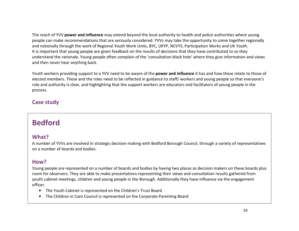The reach of YVV power and influence may extend beyond the local authority to health and police authorities where young people can make recommendations that are seriously considered. YVVs may take the opportunity to come together regionally and nationally through the work of Regional Youth Work Units, BYC, UKYP, NCVYS, Participation Works and UK Youth. It is important that young people are given feedback on the results of decisions that they have contributed to so they understand the rationale. Young people often complain of the 'consultation black hole' where they give information and views and then never hear anything back.

Youth workers providing support to a YVV need to be aware of the power and influence it has and how these relate to those of elected members. These and the roles need to be reflected in guidance to staff/ workers and young people so that everyone's role and authority is clear, and highlighting that the support workers are educators and facilitators of young people in the process.

#### Case study

## Bedford

#### What?

A number of YVVs are involved in strategic decision making with Bedford Borough Council, through a variety of representatives on a number of boards and bodies.

#### How?

Young people are represented on a number of boards and bodies by having two places as decision makers on these boards plus room for observers. They are able to make presentations representing their views and consultation results gathered from youth cabinet meetings, children and young people in the Borough. Additionally they have influence via the engagement officer.

- The Youth Cabinet is represented on the Children's Trust Board
- The Children in Care Council is represented on the Corporate Parenting Board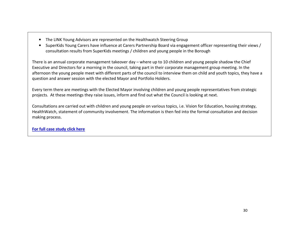- The LINK Young Advisors are represented on the Healthwatch Steering Group
- SuperKids Young Carers have influence at Carers Partnership Board via engagement officer representing their views / consultation results from SuperKids meetings / children and young people in the Borough

There is an annual corporate management takeover day – where up to 10 children and young people shadow the Chief Executive and Directors for a morning in the council, taking part in their corporate management group meeting. In the afternoon the young people meet with different parts of the council to interview them on child and youth topics, they have a question and answer session with the elected Mayor and Portfolio Holders.

Every term there are meetings with the Elected Mayor involving children and young people representatives from strategic projects. At these meetings they raise issues, inform and find out what the Council is looking at next.

Consultations are carried out with children and young people on various topics, i.e. Vision for Education, housing strategy, HealthWatch, statement of community involvement. The information is then fed into the formal consultation and decision making process.

[For full case study click here](http://www.byc.org.uk/uk-work/support-for-local-authorities/youth-voice-vehicles/#case%20studies)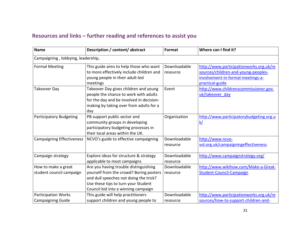| <b>Name</b>                                            | Description / content/ abstract                                                                                                                                                                          | Format                   | Where can I find it?                                                                                                                   |
|--------------------------------------------------------|----------------------------------------------------------------------------------------------------------------------------------------------------------------------------------------------------------|--------------------------|----------------------------------------------------------------------------------------------------------------------------------------|
| Campaigning, lobbying, leadership,                     |                                                                                                                                                                                                          |                          |                                                                                                                                        |
| <b>Formal Meeting</b>                                  | This guide aims to help those who want<br>to more effectively include children and<br>young people in their adult-led<br>meetings                                                                        | Downloadable<br>resource | http://www.participationworks.org.uk/re<br>sources/children-and-young-peoples-<br>involvement-in-formal-meetings-a-<br>practical-guide |
| <b>Takeover Day</b>                                    | Takeover Day gives children and young<br>people the chance to work with adults<br>for the day and be involved in decision-<br>making by taking over from adults for a<br>day                             | Event                    | http://www.childrenscommissioner.gov.<br>uk/takeover day                                                                               |
| <b>Participatory Budgeting</b>                         | PB support public sector and<br>community groups in developing<br>participatory budgeting processes in<br>their local areas within the UK.                                                               | Organisation             | http://www.participatorybudgeting.org.u<br><u>k/</u>                                                                                   |
| <b>Campaigning Effectiveness</b>                       | NCVO's guide to effective campaigning                                                                                                                                                                    | Downloadable<br>resource | http://www.ncvo-<br>vol.org.uk/campaigningeffectiveness                                                                                |
| Campaign strategy                                      | Explore ideas for structure & strategy<br>applicable to most campaigns                                                                                                                                   | Downloadable<br>resource | http://www.campaignstrategy.org/                                                                                                       |
| How to make a great<br>student council campaign        | Are you having trouble distinguishing<br>yourself from the crowd? Boring posters<br>and dull speeches not doing the trick?<br>Use these tips to turn your Student<br>Council bid into a winning campaign | Downloadable<br>resource | http://www.wikihow.com/Make-a-Great-<br><b>Student-Council-Campaign</b>                                                                |
| <b>Participation Works</b><br><b>Campaigning Guide</b> | This guide will help practitioners<br>support children and young people to                                                                                                                               | Downloadable<br>resource | http://www.participationworks.org.uk/re<br>sources/how-to-support-children-and-                                                        |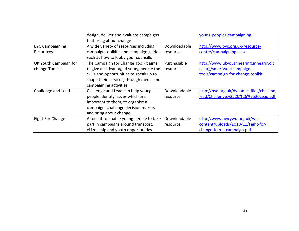|                        | design, deliver and evaluate campaigns   |              | young-peoples-campaigning                |
|------------------------|------------------------------------------|--------------|------------------------------------------|
|                        | that bring about change                  |              |                                          |
| <b>BYC Campaigning</b> | A wide variety of resources including    | Downloadable | http://www.byc.org.uk/resource-          |
| Resources              | campaign toolkits, and campaign guides   | resource     | centre/campaigning.aspx                  |
|                        | such as how to lobby your councillor     |              |                                          |
| UK Youth Campaign for  | The Campaign for Change Toolkit aims     | Purchasable  | http://www.ukyouthhearingunheardvoic     |
| change Toolkit         | to give disadvantaged young people the   | resource     | es.org/smartweb/campaign-                |
|                        | skills and opportunities to speak up to  |              | tools/campaign-for-change-toolkit        |
|                        | shape their services, through media and  |              |                                          |
|                        | campaigning activities                   |              |                                          |
| Challenge and Lead     | Challenge and Lead can help young        | Downloadable | http://nya.org.uk/dynamic_files/challand |
|                        | people identify issues which are         | resource     | lead/Challenge%2520%26%2520Lead.pdf      |
|                        | important to them, to organise a         |              |                                          |
|                        | campaign, challenge decision makers      |              |                                          |
|                        | and bring about change                   |              |                                          |
| Fight For Change       | A toolkit to enable young people to take | Downloadable | http://www.nwrywu.org.uk/wp-             |
|                        | part in campaigns around transport,      | resource     | content/uploads/2010/11/Fight-for-       |
|                        | citizenship and youth opportunities      |              | change-Join-a-campaign.pdf               |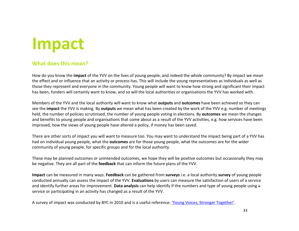## <span id="page-33-0"></span>Impact

#### What does this mean?

How do you know the **impact** of the YVV on the lives of young people, and indeed the whole community? By impact we mean the effect and or influence that an activity or process has. This will include the young representatives as individuals as well as those they represent and everyone in the community. Young people will want to know how strong and significant their impact has been, funders will certainly want to know, and so will the local authorities or organisations the YVV has worked with.

Members of the YVV and the local authority will want to know what outputs and outcomes have been achieved so they can see the impact the YVV is making. By outputs we mean what has been created by the work of the YVV e.g. number of meetings held, the number of policies scrutinised, the number of young people voting in elections. By **outcomes** we mean the changes and benefits to young people and organisations that come about as a result of the YVV activities, e.g. how services have been improved, how the views of young people have altered a policy, if money has been saved.

There are other sorts of impact you will want to measure too. You may want to understand the impact being part of a YVV has had on individual young people, what the **outcomes** are for those young people, what the outcomes are for the wider community of young people, for specific groups and for the local authority.

These may be planned outcomes or unintended outcomes, we hope they will be positive outcomes but occasionally they may be negative. They are all part of the feedback that can inform the future plans of the YVV.

Impact can be measured in many ways. Feedback can be gathered from surveys i.e. a local authority survey of young people conducted annually can assess the impact of the YVV. Evaluations by users can measure the satisfaction of users of a service and identify further areas for improvement. Data analysis can help identify if the numbers and type of young people using a service or participating in an activity has changed as a result of the YVV.

A survey of impact was conducted by BYC in 2010 and is a useful reference: ['Young Voices, Stronger Together'](http://www.byc.org.uk/resources/research-and-reports.aspx#2237).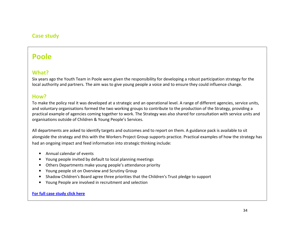#### Case study

### Poole

#### What?

Six years ago the Youth Team in Poole were given the responsibility for developing a robust participation strategy for the local authority and partners. The aim was to give young people a voice and to ensure they could influence change.

#### How?

To make the policy real it was developed at a strategic and an operational level. A range of different agencies, service units, and voluntary organisations formed the two working groups to contribute to the production of the Strategy, providing a practical example of agencies coming together to work. The Strategy was also shared for consultation with service units and organisations outside of Children & Young People's Services.

All departments are asked to identify targets and outcomes and to report on them. A guidance pack is available to sit alongside the strategy and this with the Workers Project Group supports practice. Practical examples of how the strategy has had an ongoing impact and feed information into strategic thinking include:

- Annual calendar of events
- Young people invited by default to local planning meetings
- Others Departments make young people's attendance priority
- Young people sit on Overview and Scrutiny Group
- Shadow Children's Board agree three priorities that the Children's Trust pledge to support
- Young People are involved in recruitment and selection

#### [For full case study click here](http://www.byc.org.uk/uk-work/support-for-local-authorities/youth-voice-vehicles/#case%20studies)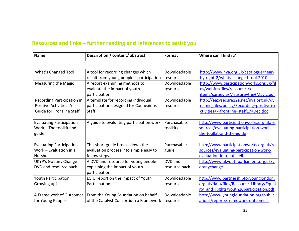| <b>Name</b>                      | Description / content/ abstract          | Format        | Where can I find it?                     |
|----------------------------------|------------------------------------------|---------------|------------------------------------------|
|                                  |                                          |               |                                          |
| What's Changed Tool              | A tool for recording changes which       | Downloadable  | http://www.nya.org.uk/catalogue/hear-    |
|                                  | result from young people's participation | resource      | by-right-2/whats-changed-tool-2010       |
| <b>Measuring the Magic</b>       | A report examining methods to            | Downloadable  | http://www.participationworks.org.uk/fil |
|                                  | evaluate the impact of youth             | resource      | es/webfm/files/resources/k-              |
|                                  | participation                            |               | items/carnegie/Measure+the+Magic.pdf     |
| Recording Participation in       | A template for recording individual      | Downloadable  | http://eazysecure12a.net/nya.org.uk/dy   |
| <b>Positive Activities: A</b>    | participation designed for Connexions    | resource      | namic files/policy/Recording+positive+a  |
| <b>Guide for Frontline Staff</b> | <b>Staff</b>                             |               | ctivities+-+frontline+staff17+Dec.doc    |
|                                  |                                          |               |                                          |
| <b>Evaluating Participation</b>  | A guide to evaluating participation work | Purchasable   | http://www.participationworks.org.uk/re  |
| Work - The toolkit and           |                                          | toolkits      | sources/evaluating-participation-work-   |
| guide                            |                                          |               | the-toolkit-and-the-guide                |
|                                  |                                          |               |                                          |
| <b>Evaluating Participation</b>  | This short guide breaks down the         | Purchasable   | http://www.participationworks.org.uk/re  |
| Work - Evaluation in a           | evaluation process into simple easy to   | guide         | sources/evaluating-participation-work-   |
| Nutshell                         | follow steps.                            |               | evaluation-in-a-nutshell                 |
| UKYP's Got any Change            | A DVD and resource for young people      | DVD and       | http://www.ukyouthparliament.org.uk/g    |
| DVD and resource pack            | explaining the impact of youth           | resource pack | otanychange                              |
|                                  | participation                            |               |                                          |
| Youth Participation,             | LGIU report on the impact of Youth       | Downloadable  | http://www.partnershipforyounglondon.    |
| Growing up?                      | Participation                            | resource      | org.uk/data/files/Resource Library/Equal |
|                                  |                                          |               | ity and Rights/youth20participation.pdf  |
| A Framework of Outcomes          | From the Young Foundation on behalf      | Downloadable  | http://www.youngfoundation.org/public    |
| for Young People                 | of the Catalyst Consortium a Framework   | resource      | ations/reports/framework-outcomes-       |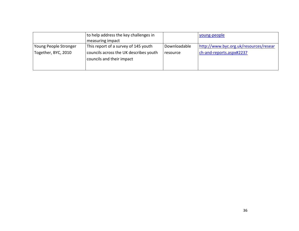|                                              | to help address the key challenges in<br>measuring impact                                                   |                                 | voung-people                                                       |
|----------------------------------------------|-------------------------------------------------------------------------------------------------------------|---------------------------------|--------------------------------------------------------------------|
| Young People Stronger<br>Together, BYC, 2010 | This report of a survey of 145 youth<br>councils across the UK describes youth<br>councils and their impact | Downloadable<br><b>resource</b> | http://www.byc.org.uk/resources/resear<br>ch-and-reports.aspx#2237 |